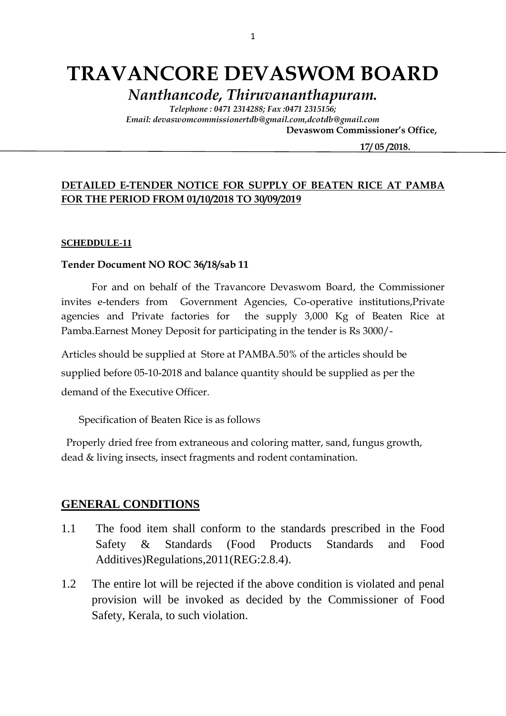# **TRAVANCORE DEVASWOM BOARD**

*Nanthancode, Thiruvananthapuram.*

*Telephone : 0471 2314288; Fax :0471 2315156; Email: devaswomcommissionertdb@gmail.com,dcotdb@gmail.com*

 **Devaswom Commissioner's Office,**

 **17/ 05 /2018.**

### **DETAILED E-TENDER NOTICE FOR SUPPLY OF BEATEN RICE AT PAMBA FOR THE PERIOD FROM 01/10/2018 TO 30/09/2019**

#### **SCHEDDULE-11**

#### **Tender Document NO ROC 36/18/sab 11**

For and on behalf of the Travancore Devaswom Board, the Commissioner invites e-tenders from Government Agencies, Co-operative institutions,Private agencies and Private factories for the supply 3,000 Kg of Beaten Rice at Pamba.Earnest Money Deposit for participating in the tender is Rs 3000/-

Articles should be supplied at Store at PAMBA.50% of the articles should be supplied before 05-10-2018 and balance quantity should be supplied as per the demand of the Executive Officer.

Specification of Beaten Rice is as follows

 Properly dried free from extraneous and coloring matter, sand, fungus growth, dead & living insects, insect fragments and rodent contamination.

#### **GENERAL CONDITIONS**

- 1.1 The food item shall conform to the standards prescribed in the Food Safety & Standards (Food Products Standards and Food Additives)Regulations,2011(REG:2.8.4).
- 1.2 The entire lot will be rejected if the above condition is violated and penal provision will be invoked as decided by the Commissioner of Food Safety, Kerala, to such violation.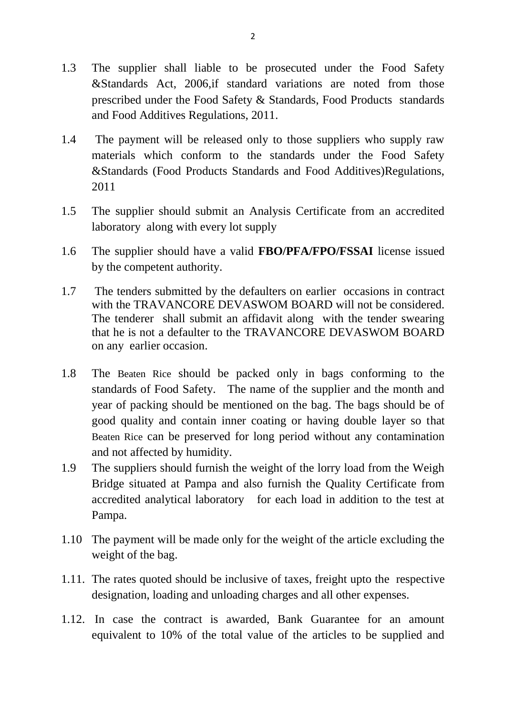- 1.3 The supplier shall liable to be prosecuted under the Food Safety &Standards Act, 2006,if standard variations are noted from those prescribed under the Food Safety & Standards, Food Products standards and Food Additives Regulations, 2011.
- 1.4 The payment will be released only to those suppliers who supply raw materials which conform to the standards under the Food Safety &Standards (Food Products Standards and Food Additives)Regulations, 2011
- 1.5 The supplier should submit an Analysis Certificate from an accredited laboratory along with every lot supply
- 1.6 The supplier should have a valid **FBO/PFA/FPO/FSSAI** license issued by the competent authority.
- 1.7 The tenders submitted by the defaulters on earlier occasions in contract with the TRAVANCORE DEVASWOM BOARD will not be considered. The tenderer shall submit an affidavit along with the tender swearing that he is not a defaulter to the TRAVANCORE DEVASWOM BOARD on any earlier occasion.
- 1.8 The Beaten Rice should be packed only in bags conforming to the standards of Food Safety. The name of the supplier and the month and year of packing should be mentioned on the bag. The bags should be of good quality and contain inner coating or having double layer so that Beaten Rice can be preserved for long period without any contamination and not affected by humidity.
- 1.9 The suppliers should furnish the weight of the lorry load from the Weigh Bridge situated at Pampa and also furnish the Quality Certificate from accredited analytical laboratory for each load in addition to the test at Pampa.
- 1.10 The payment will be made only for the weight of the article excluding the weight of the bag.
- 1.11. The rates quoted should be inclusive of taxes, freight upto the respective designation, loading and unloading charges and all other expenses.
- 1.12. In case the contract is awarded, Bank Guarantee for an amount equivalent to 10% of the total value of the articles to be supplied and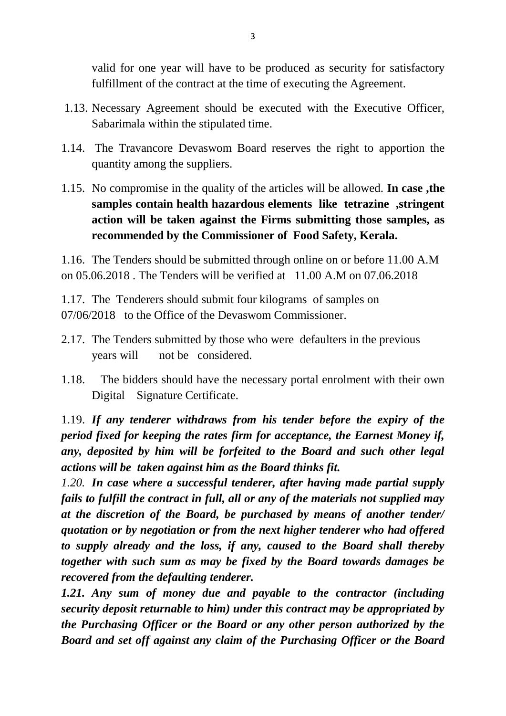valid for one year will have to be produced as security for satisfactory fulfillment of the contract at the time of executing the Agreement.

- 1.13. Necessary Agreement should be executed with the Executive Officer, Sabarimala within the stipulated time.
- 1.14. The Travancore Devaswom Board reserves the right to apportion the quantity among the suppliers.
- 1.15. No compromise in the quality of the articles will be allowed. **In case ,the samples contain health hazardous elements like tetrazine ,stringent action will be taken against the Firms submitting those samples, as recommended by the Commissioner of Food Safety, Kerala.**

1.16. The Tenders should be submitted through online on or before 11.00 A.M on 05.06.2018 . The Tenders will be verified at 11.00 A.M on 07.06.2018

1.17. The Tenderers should submit four kilograms of samples on 07/06/2018 to the Office of the Devaswom Commissioner.

- 2.17. The Tenders submitted by those who were defaulters in the previous years will not be considered.
- 1.18. The bidders should have the necessary portal enrolment with their own Digital Signature Certificate.

1.19. *If any tenderer withdraws from his tender before the expiry of the period fixed for keeping the rates firm for acceptance, the Earnest Money if, any, deposited by him will be forfeited to the Board and such other legal actions will be taken against him as the Board thinks fit.*

*1.20. In case where a successful tenderer, after having made partial supply fails to fulfill the contract in full, all or any of the materials not supplied may at the discretion of the Board, be purchased by means of another tender/ quotation or by negotiation or from the next higher tenderer who had offered to supply already and the loss, if any, caused to the Board shall thereby together with such sum as may be fixed by the Board towards damages be recovered from the defaulting tenderer.*

*1.21. Any sum of money due and payable to the contractor (including security deposit returnable to him) under this contract may be appropriated by the Purchasing Officer or the Board or any other person authorized by the Board and set off against any claim of the Purchasing Officer or the Board*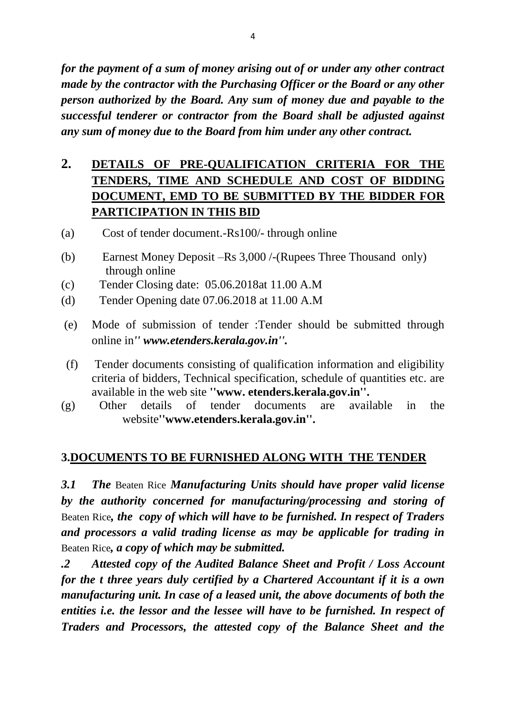*for the payment of a sum of money arising out of or under any other contract made by the contractor with the Purchasing Officer or the Board or any other person authorized by the Board. Any sum of money due and payable to the successful tenderer or contractor from the Board shall be adjusted against any sum of money due to the Board from him under any other contract.*

# **2. DETAILS OF PRE-QUALIFICATION CRITERIA FOR THE TENDERS, TIME AND SCHEDULE AND COST OF BIDDING DOCUMENT, EMD TO BE SUBMITTED BY THE BIDDER FOR PARTICIPATION IN THIS BID**

- (a) Cost of tender document.-Rs100/- through online
- (b) Earnest Money Deposit –Rs 3,000 /-(Rupees Three Thousand only) through online
- (c) Tender Closing date: 05.06.2018at 11.00 A.M
- (d) Tender Opening date 07.06.2018 at 11.00 A.M
- (e) Mode of submission of tender :Tender should be submitted through online in*'' www.etenders.kerala.gov.in''.*
- (f) Tender documents consisting of qualification information and eligibility criteria of bidders, Technical specification, schedule of quantities etc. are available in the web site **''www. etenders.kerala.gov.in''.**
- (g) Other details of tender documents are available in the website**''www.etenders.kerala.gov.in''.**

## **3.DOCUMENTS TO BE FURNISHED ALONG WITH THE TENDER**

*3.1 The* Beaten Rice *Manufacturing Units should have proper valid license by the authority concerned for manufacturing/processing and storing of*  Beaten Rice*, the copy of which will have to be furnished. In respect of Traders and processors a valid trading license as may be applicable for trading in*  Beaten Rice*, a copy of which may be submitted.*

*.2 Attested copy of the Audited Balance Sheet and Profit / Loss Account for the t three years duly certified by a Chartered Accountant if it is a own manufacturing unit. In case of a leased unit, the above documents of both the entities i.e. the lessor and the lessee will have to be furnished. In respect of Traders and Processors, the attested copy of the Balance Sheet and the*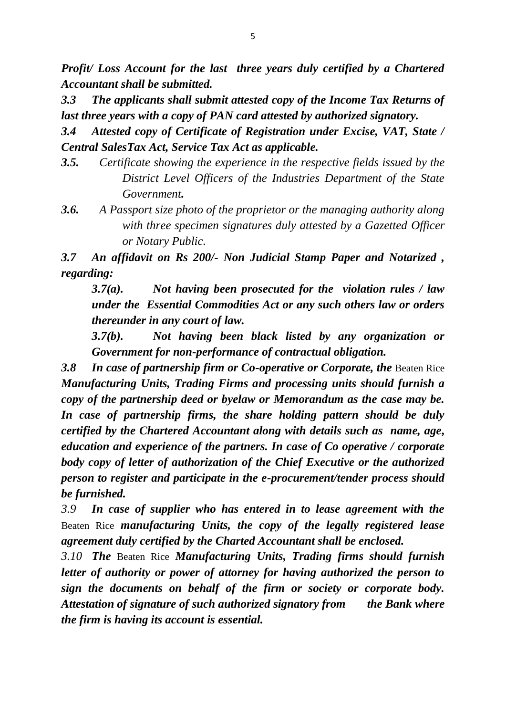*Profit/ Loss Account for the last three years duly certified by a Chartered Accountant shall be submitted.*

*3.3 The applicants shall submit attested copy of the Income Tax Returns of last three years with a copy of PAN card attested by authorized signatory.*

*3.4 Attested copy of Certificate of Registration under Excise, VAT, State / Central SalesTax Act, Service Tax Act as applicable.*

- *3.5. Certificate showing the experience in the respective fields issued by the District Level Officers of the Industries Department of the State Government.*
- *3.6. A Passport size photo of the proprietor or the managing authority along with three specimen signatures duly attested by a Gazetted Officer or Notary Public.*

*3.7 An affidavit on Rs 200/- Non Judicial Stamp Paper and Notarized , regarding:*

*3.7(a). Not having been prosecuted for the violation rules / law under the Essential Commodities Act or any such others law or orders thereunder in any court of law.*

*3.7(b). Not having been black listed by any organization or Government for non-performance of contractual obligation.*

**3.8 In case of partnership firm or Co-operative or Corporate, the Beaten Rice** *Manufacturing Units, Trading Firms and processing units should furnish a copy of the partnership deed or byelaw or Memorandum as the case may be. In case of partnership firms, the share holding pattern should be duly certified by the Chartered Accountant along with details such as name, age, education and experience of the partners. In case of Co operative / corporate body copy of letter of authorization of the Chief Executive or the authorized person to register and participate in the e-procurement/tender process should be furnished.*

*3.9 In case of supplier who has entered in to lease agreement with the*  Beaten Rice *manufacturing Units, the copy of the legally registered lease agreement duly certified by the Charted Accountant shall be enclosed.*

*3.10 The* Beaten Rice *Manufacturing Units, Trading firms should furnish letter of authority or power of attorney for having authorized the person to sign the documents on behalf of the firm or society or corporate body. Attestation of signature of such authorized signatory from the Bank where the firm is having its account is essential.*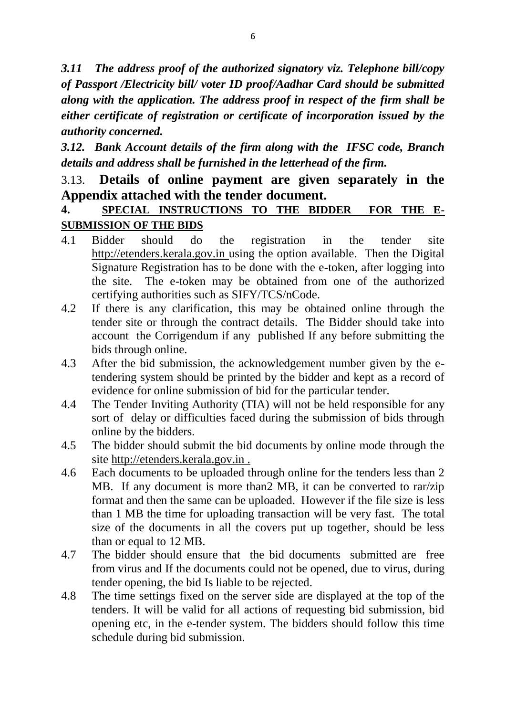*3.11 The address proof of the authorized signatory viz. Telephone bill/copy of Passport /Electricity bill/ voter ID proof/Aadhar Card should be submitted along with the application. The address proof in respect of the firm shall be either certificate of registration or certificate of incorporation issued by the authority concerned.*

*3.12. Bank Account details of the firm along with the IFSC code, Branch details and address shall be furnished in the letterhead of the firm.*

## 3.13. **Details of online payment are given separately in the Appendix attached with the tender document.**

## **4. SPECIAL INSTRUCTIONS TO THE BIDDER FOR THE E-SUBMISSION OF THE BIDS**

- 4.1 Bidder should do the registration in the tender site http://etenders.kerala.gov.in using the option available. Then the Digital Signature Registration has to be done with the e-token, after logging into the site. The e-token may be obtained from one of the authorized certifying authorities such as SIFY/TCS/nCode.
- 4.2 If there is any clarification, this may be obtained online through the tender site or through the contract details. The Bidder should take into account the Corrigendum if any published If any before submitting the bids through online.
- 4.3 After the bid submission, the acknowledgement number given by the etendering system should be printed by the bidder and kept as a record of evidence for online submission of bid for the particular tender.
- 4.4 The Tender Inviting Authority (TIA) will not be held responsible for any sort of delay or difficulties faced during the submission of bids through online by the bidders.
- 4.5 The bidder should submit the bid documents by online mode through the site http://etenders.kerala.gov.in .
- 4.6 Each documents to be uploaded through online for the tenders less than 2 MB. If any document is more than2 MB, it can be converted to rar/zip format and then the same can be uploaded. However if the file size is less than 1 MB the time for uploading transaction will be very fast. The total size of the documents in all the covers put up together, should be less than or equal to 12 MB.
- 4.7 The bidder should ensure that the bid documents submitted are free from virus and If the documents could not be opened, due to virus, during tender opening, the bid Is liable to be rejected.
- 4.8 The time settings fixed on the server side are displayed at the top of the tenders. It will be valid for all actions of requesting bid submission, bid opening etc, in the e-tender system. The bidders should follow this time schedule during bid submission.